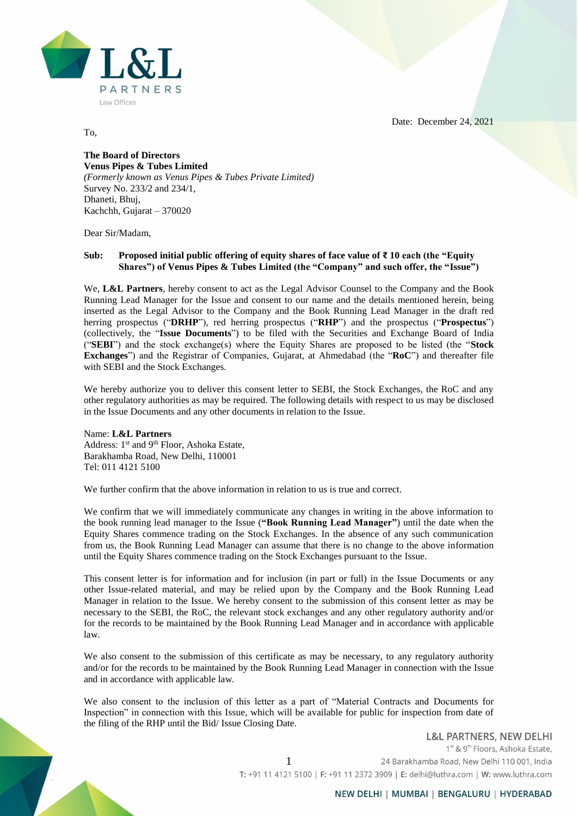$T_{\rm A}$ PARTNERS Law Offices

To,

Date: December 24, 2021

## **The Board of Directors Venus Pipes & Tubes Limited**  *(Formerly known as Venus Pipes & Tubes Private Limited)* Survey No. 233/2 and 234/1, Dhaneti, Bhuj, Kachchh, Gujarat – 370020

Dear Sir/Madam,

## **Sub: Proposed initial public offering of equity shares of face value of ₹ 10 each (the "Equity Shares") of Venus Pipes & Tubes Limited (the "Company" and such offer, the "Issue")**

We, **L&L Partners**, hereby consent to act as the Legal Advisor Counsel to the Company and the Book Running Lead Manager for the Issue and consent to our name and the details mentioned herein, being inserted as the Legal Advisor to the Company and the Book Running Lead Manager in the draft red herring prospectus ("**DRHP**"), red herring prospectus ("**RHP**") and the prospectus ("**Prospectus**") (collectively, the "**Issue Documents**") to be filed with the Securities and Exchange Board of India ("**SEBI**") and the stock exchange(s) where the Equity Shares are proposed to be listed (the "**Stock Exchanges**") and the Registrar of Companies, Gujarat, at Ahmedabad (the "**RoC**") and thereafter file with SEBI and the Stock Exchanges.

We hereby authorize you to deliver this consent letter to SEBI, the Stock Exchanges, the RoC and any other regulatory authorities as may be required. The following details with respect to us may be disclosed in the Issue Documents and any other documents in relation to the Issue.

Name: **L&L Partners** Address: 1<sup>st</sup> and 9<sup>th</sup> Floor, Ashoka Estate, Barakhamba Road, New Delhi, 110001 Tel: 011 4121 5100

We further confirm that the above information in relation to us is true and correct.

We confirm that we will immediately communicate any changes in writing in the above information to the book running lead manager to the Issue (**"Book Running Lead Manager"**) until the date when the Equity Shares commence trading on the Stock Exchanges. In the absence of any such communication from us, the Book Running Lead Manager can assume that there is no change to the above information until the Equity Shares commence trading on the Stock Exchanges pursuant to the Issue.

This consent letter is for information and for inclusion (in part or full) in the Issue Documents or any other Issue-related material, and may be relied upon by the Company and the Book Running Lead Manager in relation to the Issue. We hereby consent to the submission of this consent letter as may be necessary to the SEBI, the RoC, the relevant stock exchanges and any other regulatory authority and/or for the records to be maintained by the Book Running Lead Manager and in accordance with applicable law.

We also consent to the submission of this certificate as may be necessary, to any regulatory authority and/or for the records to be maintained by the Book Running Lead Manager in connection with the Issue and in accordance with applicable law.

We also consent to the inclusion of this letter as a part of "Material Contracts and Documents for Inspection" in connection with this Issue, which will be available for public for inspection from date of the filing of the RHP until the Bid/ Issue Closing Date.

> **L&L PARTNERS, NEW DELHI** 1<sup>st</sup> & 9<sup>th</sup> Floors, Ashoka Estate, 1 24 Barakhamba Road, New Delhi 110 001, India T: +91 11 4121 5100 | F: +91 11 2372 3909 | E: delhi@luthra.com | W: www.luthra.com

## NEW DELHI | MUMBAI | BENGALURU | HYDERABAD